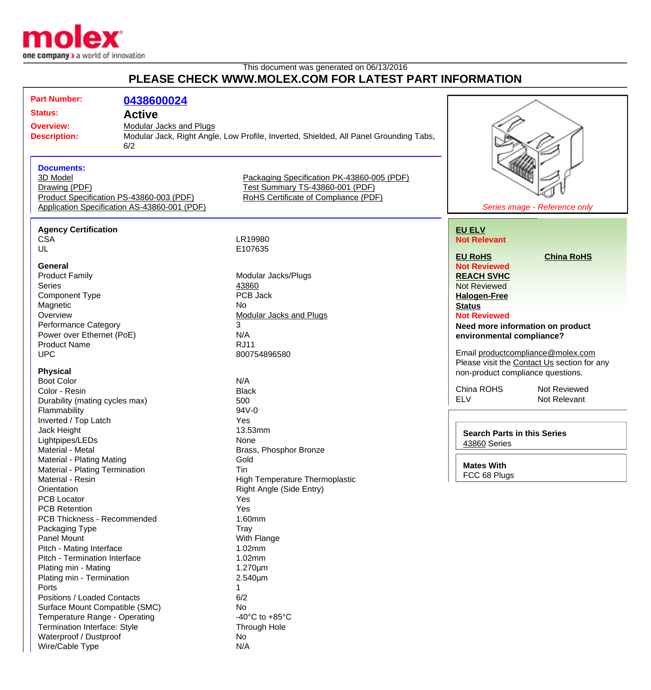

Waterproof / Dustproof No Wire/Cable Type N/A

## This document was generated on 06/13/2016 **PLEASE CHECK WWW.MOLEX.COM FOR LATEST PART INFORMATION**

| <b>Part Number:</b>                                                              | 0438600024    |                                                                                       |                                             |
|----------------------------------------------------------------------------------|---------------|---------------------------------------------------------------------------------------|---------------------------------------------|
| <b>Status:</b>                                                                   | <b>Active</b> |                                                                                       |                                             |
| <b>Overview:</b><br><b>Modular Jacks and Plugs</b><br><b>Description:</b><br>6/2 |               |                                                                                       |                                             |
|                                                                                  |               | Modular Jack, Right Angle, Low Profile, Inverted, Shielded, All Panel Grounding Tabs, |                                             |
|                                                                                  |               |                                                                                       |                                             |
|                                                                                  |               |                                                                                       |                                             |
| <b>Documents:</b>                                                                |               |                                                                                       |                                             |
| 3D Model                                                                         |               | Packaging Specification PK-43860-005 (PDF)                                            |                                             |
| Drawing (PDF)                                                                    |               | Test Summary TS-43860-001 (PDF)                                                       |                                             |
| Product Specification PS-43860-003 (PDF)<br>RoHS Certificate of Compliance (PDF) |               |                                                                                       |                                             |
| Application Specification AS-43860-001 (PDF)                                     |               |                                                                                       | Series image - Reference only               |
|                                                                                  |               |                                                                                       |                                             |
| <b>Agency Certification</b>                                                      |               |                                                                                       | <b>EU ELV</b>                               |
| <b>CSA</b>                                                                       |               | LR19980                                                                               | <b>Not Relevant</b>                         |
| UL                                                                               |               | E107635                                                                               |                                             |
|                                                                                  |               |                                                                                       | <b>EU RoHS</b><br><b>China RoHS</b>         |
| General                                                                          |               |                                                                                       | <b>Not Reviewed</b>                         |
| <b>Product Family</b>                                                            |               | Modular Jacks/Plugs                                                                   | <b>REACH SVHC</b>                           |
| Series                                                                           |               | 43860                                                                                 | <b>Not Reviewed</b>                         |
| <b>Component Type</b>                                                            |               | PCB Jack                                                                              | <b>Halogen-Free</b>                         |
| Magnetic                                                                         |               | <b>No</b>                                                                             | <b>Status</b>                               |
| Overview                                                                         |               | <b>Modular Jacks and Plugs</b>                                                        | <b>Not Reviewed</b>                         |
| <b>Performance Category</b>                                                      |               | 3                                                                                     | Need more information on product            |
| Power over Ethernet (PoE)                                                        |               | N/A                                                                                   | environmental compliance?                   |
| <b>Product Name</b>                                                              |               | <b>RJ11</b>                                                                           |                                             |
| <b>UPC</b>                                                                       |               | 800754896580                                                                          | Email productcompliance@molex.com           |
|                                                                                  |               |                                                                                       | Please visit the Contact Us section for any |
| <b>Physical</b>                                                                  |               |                                                                                       | non-product compliance questions.           |
| <b>Boot Color</b>                                                                |               | N/A                                                                                   |                                             |
| Color - Resin                                                                    |               | <b>Black</b>                                                                          | China ROHS<br>Not Reviewed                  |
| Durability (mating cycles max)                                                   |               | 500                                                                                   | <b>ELV</b><br>Not Relevant                  |
| Flammability                                                                     |               | 94V-0                                                                                 |                                             |
| Inverted / Top Latch                                                             |               | Yes                                                                                   |                                             |
| Jack Height                                                                      |               | 13.53mm                                                                               | <b>Search Parts in this Series</b>          |
| Lightpipes/LEDs                                                                  |               | None                                                                                  | 43860 Series                                |
| Material - Metal                                                                 |               | Brass, Phosphor Bronze                                                                |                                             |
| Material - Plating Mating                                                        |               | Gold                                                                                  | <b>Mates With</b>                           |
| Material - Plating Termination                                                   |               | Tin                                                                                   | FCC 68 Plugs                                |
| Material - Resin                                                                 |               | <b>High Temperature Thermoplastic</b>                                                 |                                             |
| Orientation                                                                      |               | Right Angle (Side Entry)                                                              |                                             |
| <b>PCB Locator</b>                                                               |               | Yes                                                                                   |                                             |
| <b>PCB Retention</b>                                                             |               | Yes                                                                                   |                                             |
| PCB Thickness - Recommended                                                      |               | 1.60mm                                                                                |                                             |
| Packaging Type                                                                   |               | Tray                                                                                  |                                             |
| Panel Mount                                                                      |               | With Flange                                                                           |                                             |
| Pitch - Mating Interface                                                         |               | 1.02mm                                                                                |                                             |
| Pitch - Termination Interface                                                    |               | 1.02mm                                                                                |                                             |
| Plating min - Mating                                                             |               | $1.270 \mu m$                                                                         |                                             |
| Plating min - Termination                                                        |               | 2.540µm                                                                               |                                             |
| Ports                                                                            |               |                                                                                       |                                             |
| Positions / Loaded Contacts                                                      |               | 6/2                                                                                   |                                             |
| Surface Mount Compatible (SMC)                                                   |               | No.                                                                                   |                                             |
| Temperature Range - Operating                                                    |               | -40 $^{\circ}$ C to +85 $^{\circ}$ C                                                  |                                             |
| Termination Interface: Style                                                     |               | Through Hole                                                                          |                                             |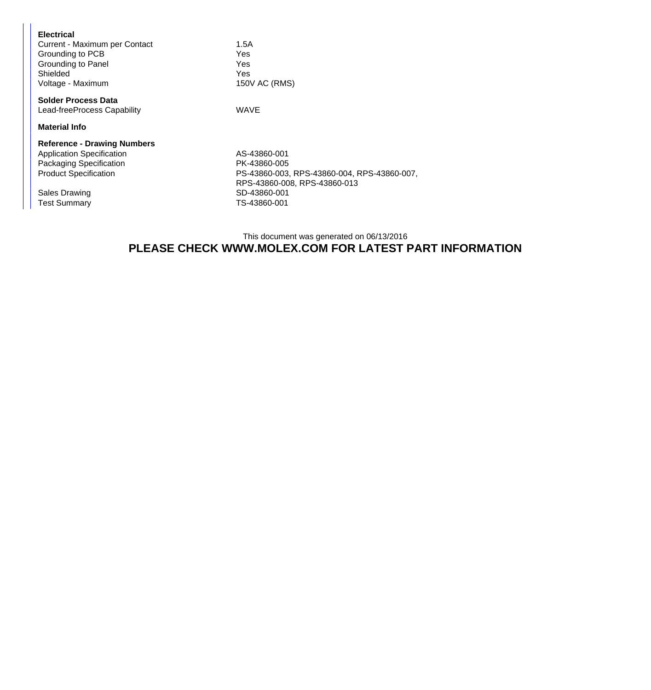| <b>Electrical</b><br>Current - Maximum per Contact<br>Grounding to PCB<br>Grounding to Panel<br>Shielded<br>Voltage - Maximum     | 1.5A<br>Yes<br>Yes<br><b>Yes</b><br>150V AC (RMS)                                                           |  |  |  |
|-----------------------------------------------------------------------------------------------------------------------------------|-------------------------------------------------------------------------------------------------------------|--|--|--|
| <b>Solder Process Data</b><br>Lead-freeProcess Capability                                                                         | WAVE                                                                                                        |  |  |  |
| <b>Material Info</b>                                                                                                              |                                                                                                             |  |  |  |
| <b>Reference - Drawing Numbers</b><br><b>Application Specification</b><br>Packaging Specification<br><b>Product Specification</b> | AS-43860-001<br>PK-43860-005<br>PS-43860-003, RPS-43860-004, RPS-43860-007,<br>RPS-43860-008, RPS-43860-013 |  |  |  |
| Sales Drawing<br><b>Test Summary</b>                                                                                              | SD-43860-001<br>TS-43860-001                                                                                |  |  |  |

## This document was generated on 06/13/2016 **PLEASE CHECK WWW.MOLEX.COM FOR LATEST PART INFORMATION**